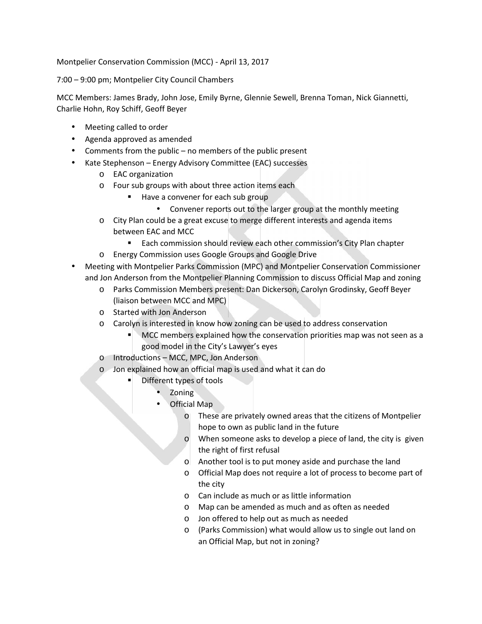Montpelier Conservation Commission (MCC) - April 13, 2017

7:00 – 9:00 pm; Montpelier City Council Chambers

MCC Members: James Brady, John Jose, Emily Byrne, Glennie Sewell, Brenna Toman, Nick Giannetti, Charlie Hohn, Roy Schiff, Geoff Beyer

- Meeting called to order
- Agenda approved as amended
- Comments from the public no members of the public present
- Kate Stephenson Energy Advisory Committee (EAC) successes
	- o EAC organization
	- o Four sub groups with about three action items each
		- Have a convener for each sub group
			- Convener reports out to the larger group at the monthly meeting
	- o City Plan could be a great excuse to merge different interests and agenda items between EAC and MCC
		- **Each commission should review each other commission's City Plan chapter**
	- o Energy Commission uses Google Groups and Google Drive
- Meeting with Montpelier Parks Commission (MPC) and Montpelier Conservation Commissioner and Jon Anderson from the Montpelier Planning Commission to discuss Official Map and zoning
	- o Parks Commission Members present: Dan Dickerson, Carolyn Grodinsky, Geoff Beyer (liaison between MCC and MPC)
	- o Started with Jon Anderson
	- o Carolyn is interested in know how zoning can be used to address conservation
		- MCC members explained how the conservation priorities map was not seen as a good model in the City's Lawyer's eyes
	- o Introductions MCC, MPC, Jon Anderson
	- o Jon explained how an official map is used and what it can do
		- Different types of tools
			- Zoning
			- Official Map
				- o These are privately owned areas that the citizens of Montpelier hope to own as public land in the future
				- o When someone asks to develop a piece of land, the city is given the right of first refusal
				- o Another tool is to put money aside and purchase the land
				- o Official Map does not require a lot of process to become part of the city
				- o Can include as much or as little information
				- o Map can be amended as much and as often as needed
				- o Jon offered to help out as much as needed
				- o (Parks Commission) what would allow us to single out land on an Official Map, but not in zoning?